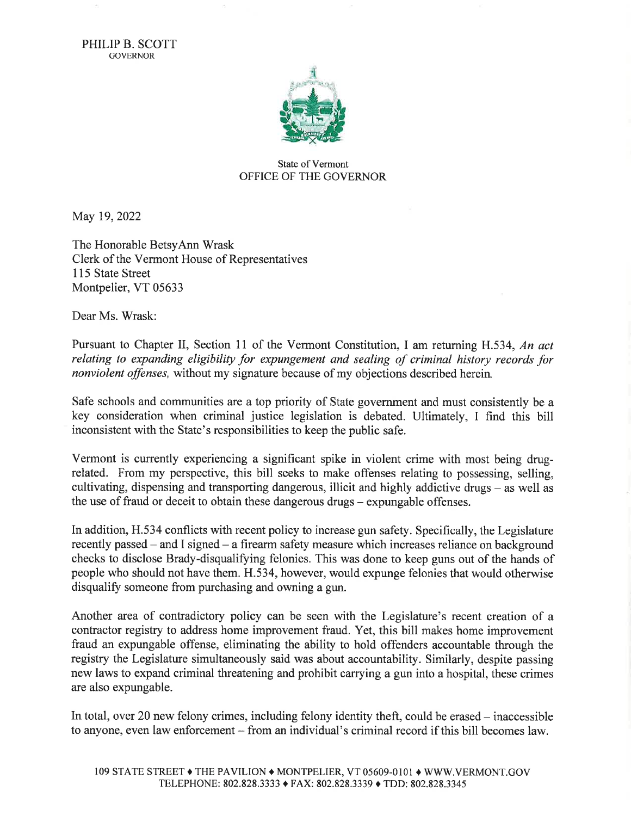PHILIP B. SCOTT GOVERNOR



## State of Vermont OFFICE OF THE GOVERNOR

May 19,2022

The Honorable BetsyAnn Wrask Clerk of the Vermont House of Representatives 115 State Street Montpelier, VT 05633

Dear Ms. Wrask:

Pursuant to Chapter II, Section 11 of the Vermont Constitution, I am returning H.534, An act relating to expanding eligibility for expungement and sealing of criminal history records for nonviolent offenses, without my signature because of my objections described herein.

Safe schools and communities are a top priority of State government and must consistently be a key consideration when criminal justice legislation is debated. Ultimately, I find this bill inconsistent with the State's responsibilities to keep the public safe.

Vermont is currently experiencing a significant spike in violent crime with most being drugrelated. From my perspective, this bill seeks to make offenses relating to possessing, selling, cultivating, dispensing and transporting dangerous, illicit and highly addictive drugs - as well as the use of fraud or deceit to obtain these dangerous drugs – expungable offenses.

In addition, H.534 conflicts with recent policy to increase gun safety. Specifically, the Legislature recently passed – and I signed – a firearm safety measure which increases reliance on background checks to disclose Brady-disqualifying felonies. This was done to keep guns out of the hands of people who should not have them. H.534, however, would expunge felonies that would otherwise disqualify someone from purchasing and owning a gun.

Another area of contradictory policy can be seen with the Legislature's recent creation of <sup>a</sup> contractor registry to address home improvement fraud. Yet, this bill makes home improvement fraud an expungable offense, eliminating the ability to hold offenders accountable through the registry the Legislature simultaneously said was about accountability. Similarly, despite passing new laws to expand criminal threatening and prohibit carrying a gun into a hospital, these crimes are also expungable.

In total, over 20 new felony crimes, including felony identity theft, could be erased  $-$  inaccessible to anyone, even law enforcement - from an individual's criminal record if this bill becomes law.